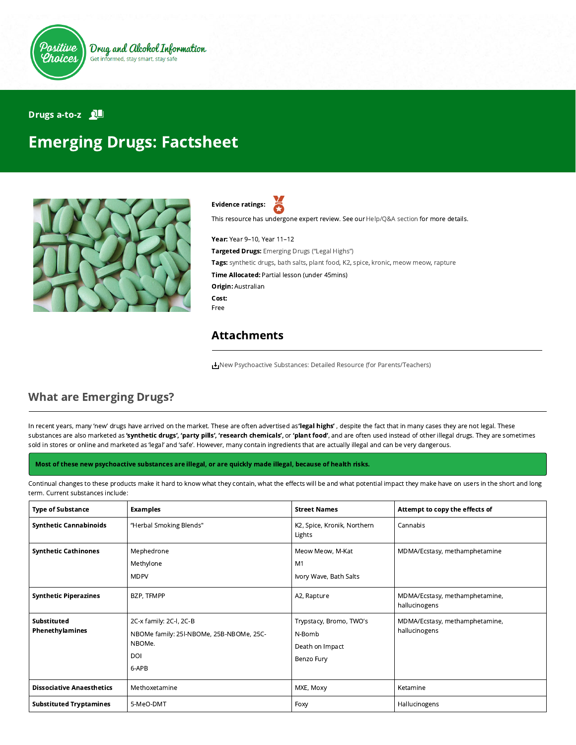

#### Drugs a-to-z **QL**

# Emerging Drugs: Factsheet



Evidence ratings:

This resource has undergone expert review. See our [Help/Q&A section](https://positivechoices.org.au/help/questions-and-answers/) for more details.

Year: Year 9–10, Year 11–12 Targeted Drugs: Emerging Drugs ("Legal Highs") Tags: synthetic drugs, bath salts, plant food, K2, spice, kronic, meow meow, rapture Time Allocated: Partial lesson (under 45mins) Origin: Australian Cost: Free

#### Attachments

[New Psychoactive Substances: Detailed Resource \(for Parents/Teachers\)](https://positivechoices.org.au/documents/ci7YqoW4i5/new-psychoactive-substances-detailed-resource-for-parentsteachers/)

### What are Emerging Drugs?

In recent years, many 'new' drugs have arrived on the market. These are often advertised as 'legal highs', despite the fact that in many cases they are not legal. These substances are also marketed as 'synthetic drugs', 'party pills', 'research chemicals', or 'plant food', and are often used instead of other illegal drugs. They are sometimes sold in stores or online and marketed as 'legal' and 'safe'. However, many contain ingredients that are actually illegal and can be very dangerous.

#### Most of these new psychoactive substances are illegal, or are quickly made illegal, because of health risks.

Continual changes to these products make it hard to know what they contain, what the effects will be and what potential impact they make have on users in the short and long term. Current substances include:

| <b>Type of Substance</b>         | <b>Examples</b>                                                                               | <b>Street Names</b>                                                | Attempt to copy the effects of                  |
|----------------------------------|-----------------------------------------------------------------------------------------------|--------------------------------------------------------------------|-------------------------------------------------|
| <b>Synthetic Cannabinoids</b>    | "Herbal Smoking Blends"                                                                       | K2, Spice, Kronik, Northern<br>Lights                              | Cannabis                                        |
| <b>Synthetic Cathinones</b>      | Mephedrone<br>Methylone<br><b>MDPV</b>                                                        | Meow Meow, M-Kat<br>M1<br>Ivory Wave, Bath Salts                   | MDMA/Ecstasy, methamphetamine                   |
| <b>Synthetic Piperazines</b>     | BZP, TFMPP                                                                                    | A2, Rapture                                                        | MDMA/Ecstasy, methamphetamine,<br>hallucinogens |
| Substituted<br>Phenethylamines   | 2C-x family: 2C-l, 2C-B<br>NBOMe family: 25I-NBOMe, 25B-NBOMe, 25C-<br>NBOMe.<br>DOI<br>6-APB | Trypstacy, Bromo, TWO's<br>N-Bomb<br>Death on Impact<br>Benzo Fury | MDMA/Ecstasy, methamphetamine,<br>hallucinogens |
| <b>Dissociative Anaesthetics</b> | Methoxetamine                                                                                 | MXE, Moxy                                                          | Ketamine                                        |
| <b>Substituted Tryptamines</b>   | 5-MeO-DMT                                                                                     | Foxy                                                               | Hallucinogens                                   |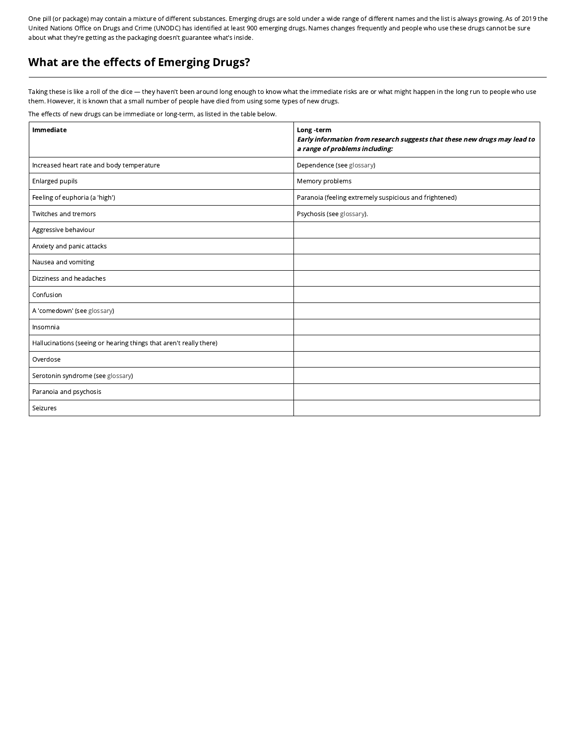One pill (or package) may contain a mixture of different substances. Emerging drugs are sold under a wide range of different names and the list is always growing. As of 2019 the United Nations Office on Drugs and Crime (UNODC) has identified at least 900 emerging drugs. Names changes frequently and people who use these drugs cannot be sure about what they're getting as the packaging doesn't guarantee what's inside.

## What are the effects of Emerging Drugs?

Taking these is like a roll of the dice — they haven't been around long enough to know what the immediate risks are or what might happen in the long run to people who use them. However, it is known that a small number of people have died from using some types of new drugs.

The effects of new drugs can be immediate or long-term, as listed in the table below.

| Immediate                                                          | Long-term<br>Early information from research suggests that these new drugs may lead to<br>a range of problems including: |  |
|--------------------------------------------------------------------|--------------------------------------------------------------------------------------------------------------------------|--|
| Increased heart rate and body temperature                          | Dependence (see glossary)                                                                                                |  |
| Enlarged pupils                                                    | Memory problems                                                                                                          |  |
| Feeling of euphoria (a 'high')                                     | Paranoia (feeling extremely suspicious and frightened)                                                                   |  |
| Twitches and tremors                                               | Psychosis (see glossary).                                                                                                |  |
| Aggressive behaviour                                               |                                                                                                                          |  |
| Anxiety and panic attacks                                          |                                                                                                                          |  |
| Nausea and vomiting                                                |                                                                                                                          |  |
| Dizziness and headaches                                            |                                                                                                                          |  |
| Confusion                                                          |                                                                                                                          |  |
| A 'comedown' (see glossary)                                        |                                                                                                                          |  |
| Insomnia                                                           |                                                                                                                          |  |
| Hallucinations (seeing or hearing things that aren't really there) |                                                                                                                          |  |
| Overdose                                                           |                                                                                                                          |  |
| Serotonin syndrome (see glossary)                                  |                                                                                                                          |  |
| Paranoia and psychosis                                             |                                                                                                                          |  |
| Seizures                                                           |                                                                                                                          |  |